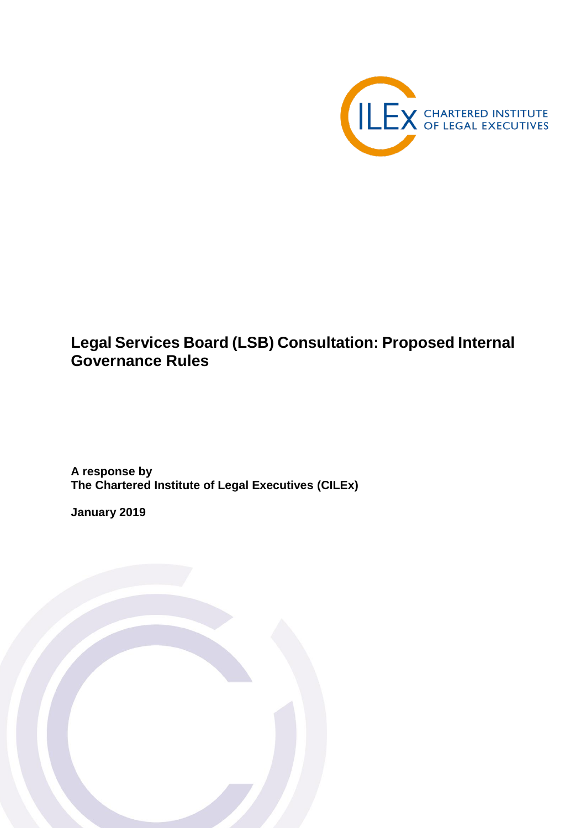

# **Legal Services Board (LSB) Consultation: Proposed Internal Governance Rules**

**A response by The Chartered Institute of Legal Executives (CILEx)**

**January 2019**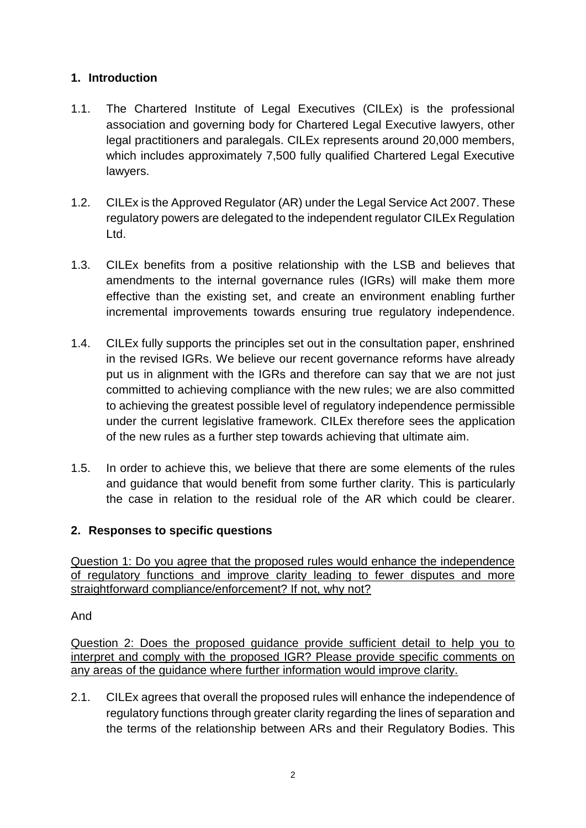# **1. Introduction**

- 1.1. The Chartered Institute of Legal Executives (CILEx) is the professional association and governing body for Chartered Legal Executive lawyers, other legal practitioners and paralegals. CILEx represents around 20,000 members, which includes approximately 7,500 fully qualified Chartered Legal Executive lawyers.
- 1.2. CILEx is the Approved Regulator (AR) under the Legal Service Act 2007. These regulatory powers are delegated to the independent regulator CILEx Regulation Ltd.
- 1.3. CILEx benefits from a positive relationship with the LSB and believes that amendments to the internal governance rules (IGRs) will make them more effective than the existing set, and create an environment enabling further incremental improvements towards ensuring true regulatory independence.
- 1.4. CILEx fully supports the principles set out in the consultation paper, enshrined in the revised IGRs. We believe our recent governance reforms have already put us in alignment with the IGRs and therefore can say that we are not just committed to achieving compliance with the new rules; we are also committed to achieving the greatest possible level of regulatory independence permissible under the current legislative framework. CILEx therefore sees the application of the new rules as a further step towards achieving that ultimate aim.
- 1.5. In order to achieve this, we believe that there are some elements of the rules and guidance that would benefit from some further clarity. This is particularly the case in relation to the residual role of the AR which could be clearer.

### **2. Responses to specific questions**

Question 1: Do you agree that the proposed rules would enhance the independence of regulatory functions and improve clarity leading to fewer disputes and more straightforward compliance/enforcement? If not, why not?

And

Question 2: Does the proposed guidance provide sufficient detail to help you to interpret and comply with the proposed IGR? Please provide specific comments on any areas of the guidance where further information would improve clarity.

2.1. CILEx agrees that overall the proposed rules will enhance the independence of regulatory functions through greater clarity regarding the lines of separation and the terms of the relationship between ARs and their Regulatory Bodies. This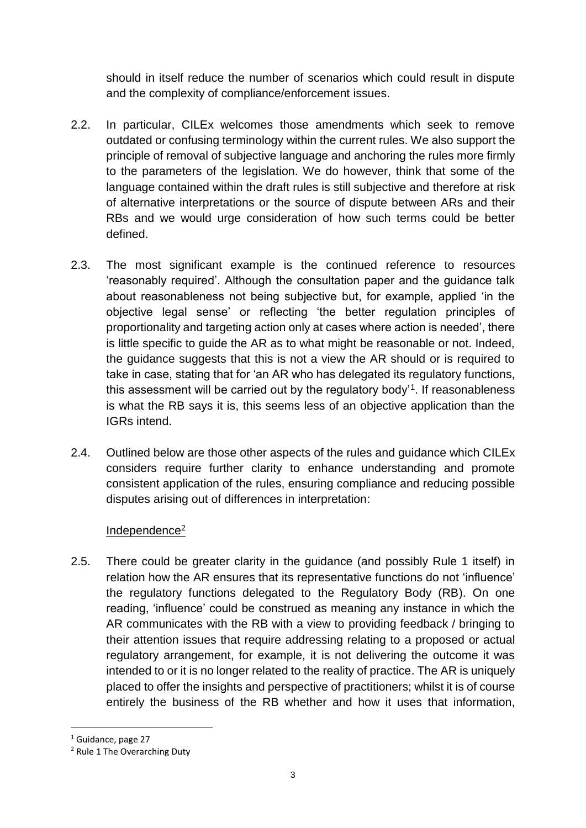should in itself reduce the number of scenarios which could result in dispute and the complexity of compliance/enforcement issues.

- 2.2. In particular, CILEx welcomes those amendments which seek to remove outdated or confusing terminology within the current rules. We also support the principle of removal of subjective language and anchoring the rules more firmly to the parameters of the legislation. We do however, think that some of the language contained within the draft rules is still subjective and therefore at risk of alternative interpretations or the source of dispute between ARs and their RBs and we would urge consideration of how such terms could be better defined.
- 2.3. The most significant example is the continued reference to resources 'reasonably required'. Although the consultation paper and the guidance talk about reasonableness not being subjective but, for example, applied 'in the objective legal sense' or reflecting 'the better regulation principles of proportionality and targeting action only at cases where action is needed', there is little specific to guide the AR as to what might be reasonable or not. Indeed, the guidance suggests that this is not a view the AR should or is required to take in case, stating that for 'an AR who has delegated its regulatory functions, this assessment will be carried out by the regulatory body<sup>1</sup>. If reasonableness is what the RB says it is, this seems less of an objective application than the IGRs intend.
- 2.4. Outlined below are those other aspects of the rules and guidance which CILEx considers require further clarity to enhance understanding and promote consistent application of the rules, ensuring compliance and reducing possible disputes arising out of differences in interpretation:

### Independence<sup>2</sup>

2.5. There could be greater clarity in the guidance (and possibly Rule 1 itself) in relation how the AR ensures that its representative functions do not 'influence' the regulatory functions delegated to the Regulatory Body (RB). On one reading, 'influence' could be construed as meaning any instance in which the AR communicates with the RB with a view to providing feedback / bringing to their attention issues that require addressing relating to a proposed or actual regulatory arrangement, for example, it is not delivering the outcome it was intended to or it is no longer related to the reality of practice. The AR is uniquely placed to offer the insights and perspective of practitioners; whilst it is of course entirely the business of the RB whether and how it uses that information,

1

<sup>&</sup>lt;sup>1</sup> Guidance, page 27

<sup>2</sup> Rule 1 The Overarching Duty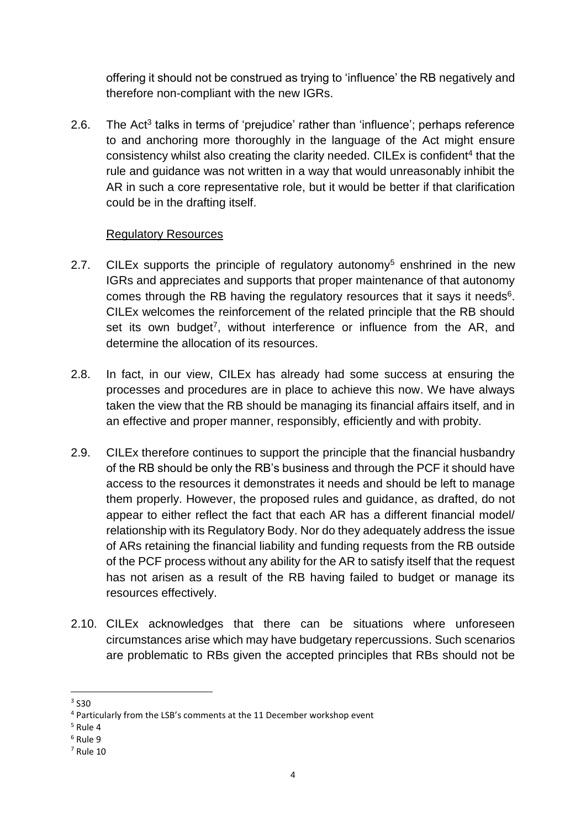offering it should not be construed as trying to 'influence' the RB negatively and therefore non-compliant with the new IGRs.

2.6. The Act<sup>3</sup> talks in terms of 'prejudice' rather than 'influence'; perhaps reference to and anchoring more thoroughly in the language of the Act might ensure consistency whilst also creating the clarity needed. CILEx is confident<sup>4</sup> that the rule and guidance was not written in a way that would unreasonably inhibit the AR in such a core representative role, but it would be better if that clarification could be in the drafting itself.

#### Regulatory Resources

- 2.7. CILEx supports the principle of regulatory autonomy<sup>5</sup> enshrined in the new IGRs and appreciates and supports that proper maintenance of that autonomy comes through the RB having the regulatory resources that it says it needs $6$ . CILEx welcomes the reinforcement of the related principle that the RB should set its own budget<sup>7</sup>, without interference or influence from the AR, and determine the allocation of its resources.
- 2.8. In fact, in our view, CILEx has already had some success at ensuring the processes and procedures are in place to achieve this now. We have always taken the view that the RB should be managing its financial affairs itself, and in an effective and proper manner, responsibly, efficiently and with probity.
- 2.9. CILEx therefore continues to support the principle that the financial husbandry of the RB should be only the RB's business and through the PCF it should have access to the resources it demonstrates it needs and should be left to manage them properly. However, the proposed rules and guidance, as drafted, do not appear to either reflect the fact that each AR has a different financial model/ relationship with its Regulatory Body. Nor do they adequately address the issue of ARs retaining the financial liability and funding requests from the RB outside of the PCF process without any ability for the AR to satisfy itself that the request has not arisen as a result of the RB having failed to budget or manage its resources effectively.
- 2.10. CILEx acknowledges that there can be situations where unforeseen circumstances arise which may have budgetary repercussions. Such scenarios are problematic to RBs given the accepted principles that RBs should not be

**.** 

<sup>3</sup> S30

<sup>4</sup> Particularly from the LSB's comments at the 11 December workshop event

 $5$  Rule 4

<sup>6</sup> Rule 9

 $<sup>7</sup>$  Rule 10</sup>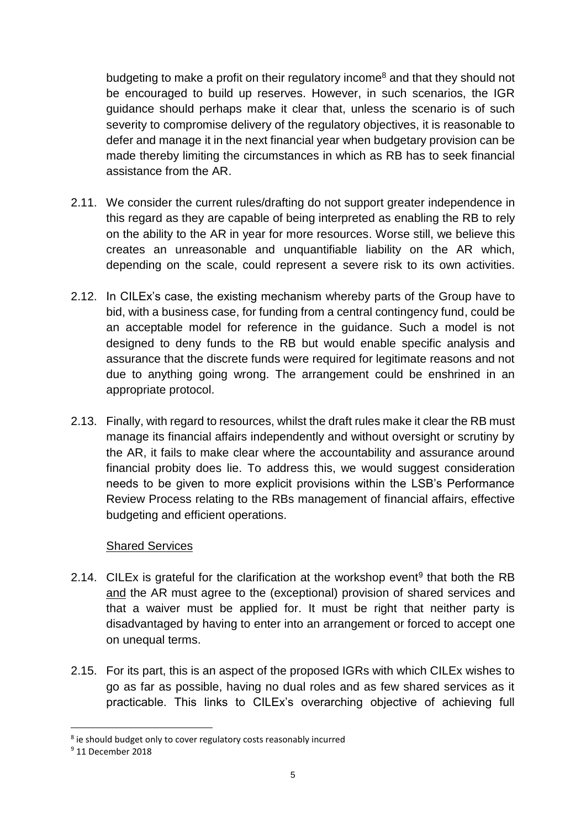budgeting to make a profit on their regulatory income<sup>8</sup> and that they should not be encouraged to build up reserves. However, in such scenarios, the IGR guidance should perhaps make it clear that, unless the scenario is of such severity to compromise delivery of the regulatory objectives, it is reasonable to defer and manage it in the next financial year when budgetary provision can be made thereby limiting the circumstances in which as RB has to seek financial assistance from the AR.

- 2.11. We consider the current rules/drafting do not support greater independence in this regard as they are capable of being interpreted as enabling the RB to rely on the ability to the AR in year for more resources. Worse still, we believe this creates an unreasonable and unquantifiable liability on the AR which, depending on the scale, could represent a severe risk to its own activities.
- 2.12. In CILEx's case, the existing mechanism whereby parts of the Group have to bid, with a business case, for funding from a central contingency fund, could be an acceptable model for reference in the guidance. Such a model is not designed to deny funds to the RB but would enable specific analysis and assurance that the discrete funds were required for legitimate reasons and not due to anything going wrong. The arrangement could be enshrined in an appropriate protocol.
- 2.13. Finally, with regard to resources, whilst the draft rules make it clear the RB must manage its financial affairs independently and without oversight or scrutiny by the AR, it fails to make clear where the accountability and assurance around financial probity does lie. To address this, we would suggest consideration needs to be given to more explicit provisions within the LSB's Performance Review Process relating to the RBs management of financial affairs, effective budgeting and efficient operations.

### Shared Services

- 2.14. CILEx is grateful for the clarification at the workshop event<sup>9</sup> that both the RB and the AR must agree to the (exceptional) provision of shared services and that a waiver must be applied for. It must be right that neither party is disadvantaged by having to enter into an arrangement or forced to accept one on unequal terms.
- 2.15. For its part, this is an aspect of the proposed IGRs with which CILEx wishes to go as far as possible, having no dual roles and as few shared services as it practicable. This links to CILEx's overarching objective of achieving full

1

<sup>&</sup>lt;sup>8</sup> ie should budget only to cover regulatory costs reasonably incurred

<sup>9</sup> 11 December 2018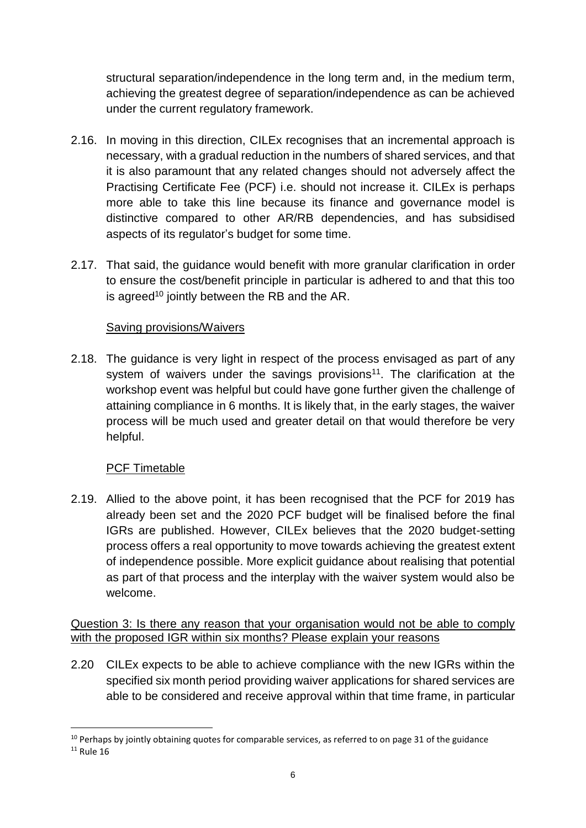structural separation/independence in the long term and, in the medium term, achieving the greatest degree of separation/independence as can be achieved under the current regulatory framework.

- 2.16. In moving in this direction, CILEx recognises that an incremental approach is necessary, with a gradual reduction in the numbers of shared services, and that it is also paramount that any related changes should not adversely affect the Practising Certificate Fee (PCF) i.e. should not increase it. CILEx is perhaps more able to take this line because its finance and governance model is distinctive compared to other AR/RB dependencies, and has subsidised aspects of its regulator's budget for some time.
- 2.17. That said, the guidance would benefit with more granular clarification in order to ensure the cost/benefit principle in particular is adhered to and that this too is agreed<sup>10</sup> jointly between the RB and the AR.

## Saving provisions/Waivers

2.18. The guidance is very light in respect of the process envisaged as part of any system of waivers under the savings provisions<sup>11</sup>. The clarification at the workshop event was helpful but could have gone further given the challenge of attaining compliance in 6 months. It is likely that, in the early stages, the waiver process will be much used and greater detail on that would therefore be very helpful.

# PCF Timetable

2.19. Allied to the above point, it has been recognised that the PCF for 2019 has already been set and the 2020 PCF budget will be finalised before the final IGRs are published. However, CILEx believes that the 2020 budget-setting process offers a real opportunity to move towards achieving the greatest extent of independence possible. More explicit guidance about realising that potential as part of that process and the interplay with the waiver system would also be welcome.

Question 3: Is there any reason that your organisation would not be able to comply with the proposed IGR within six months? Please explain your reasons

2.20 CILEx expects to be able to achieve compliance with the new IGRs within the specified six month period providing waiver applications for shared services are able to be considered and receive approval within that time frame, in particular

1

 $10$  Perhaps by jointly obtaining quotes for comparable services, as referred to on page 31 of the guidance

 $11$  Rule 16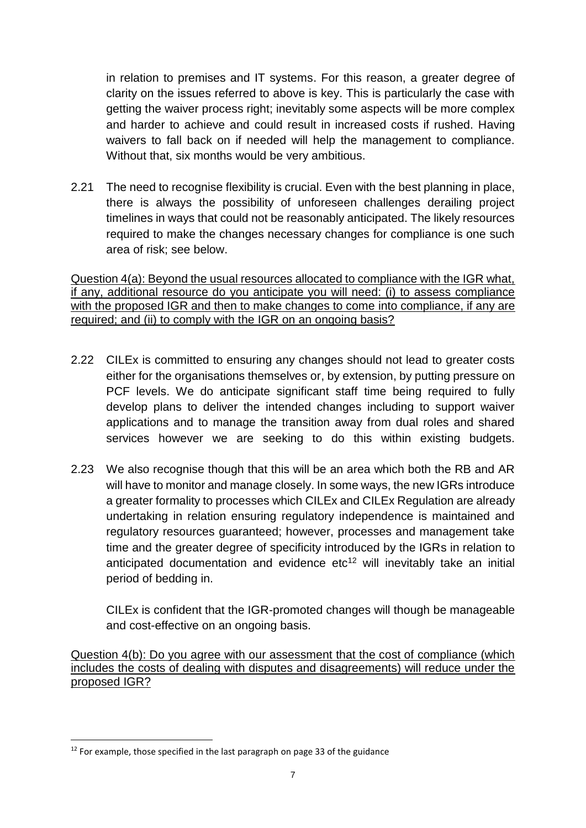in relation to premises and IT systems. For this reason, a greater degree of clarity on the issues referred to above is key. This is particularly the case with getting the waiver process right; inevitably some aspects will be more complex and harder to achieve and could result in increased costs if rushed. Having waivers to fall back on if needed will help the management to compliance. Without that, six months would be very ambitious.

2.21 The need to recognise flexibility is crucial. Even with the best planning in place, there is always the possibility of unforeseen challenges derailing project timelines in ways that could not be reasonably anticipated. The likely resources required to make the changes necessary changes for compliance is one such area of risk; see below.

Question 4(a): Beyond the usual resources allocated to compliance with the IGR what, if any, additional resource do you anticipate you will need: (i) to assess compliance with the proposed IGR and then to make changes to come into compliance, if any are required; and (ii) to comply with the IGR on an ongoing basis?

- 2.22 CILEx is committed to ensuring any changes should not lead to greater costs either for the organisations themselves or, by extension, by putting pressure on PCF levels. We do anticipate significant staff time being required to fully develop plans to deliver the intended changes including to support waiver applications and to manage the transition away from dual roles and shared services however we are seeking to do this within existing budgets.
- 2.23 We also recognise though that this will be an area which both the RB and AR will have to monitor and manage closely. In some ways, the new IGRs introduce a greater formality to processes which CILEx and CILEx Regulation are already undertaking in relation ensuring regulatory independence is maintained and regulatory resources guaranteed; however, processes and management take time and the greater degree of specificity introduced by the IGRs in relation to anticipated documentation and evidence  $etc<sup>12</sup>$  will inevitably take an initial period of bedding in.

CILEx is confident that the IGR-promoted changes will though be manageable and cost-effective on an ongoing basis.

Question 4(b): Do you agree with our assessment that the cost of compliance (which includes the costs of dealing with disputes and disagreements) will reduce under the proposed IGR?

**.** 

 $12$  For example, those specified in the last paragraph on page 33 of the guidance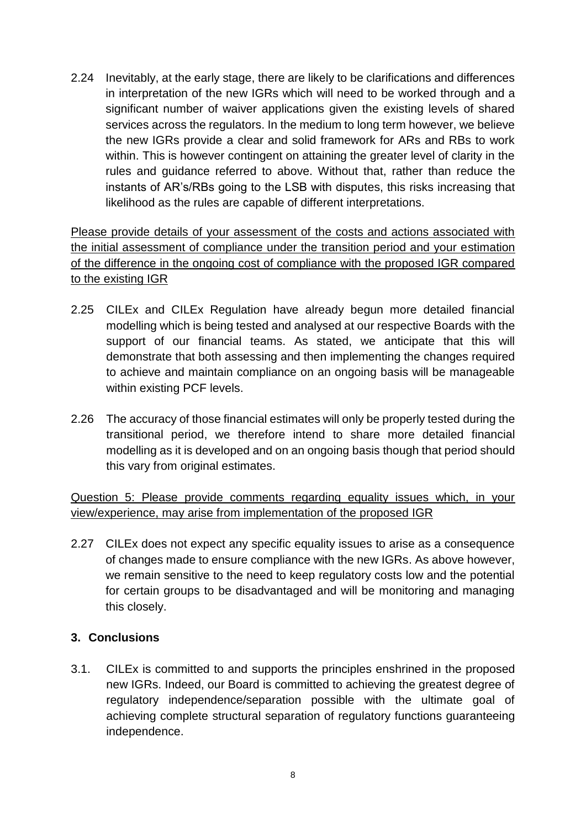2.24 Inevitably, at the early stage, there are likely to be clarifications and differences in interpretation of the new IGRs which will need to be worked through and a significant number of waiver applications given the existing levels of shared services across the regulators. In the medium to long term however, we believe the new IGRs provide a clear and solid framework for ARs and RBs to work within. This is however contingent on attaining the greater level of clarity in the rules and guidance referred to above. Without that, rather than reduce the instants of AR's/RBs going to the LSB with disputes, this risks increasing that likelihood as the rules are capable of different interpretations.

Please provide details of your assessment of the costs and actions associated with the initial assessment of compliance under the transition period and your estimation of the difference in the ongoing cost of compliance with the proposed IGR compared to the existing IGR

- 2.25 CILEx and CILEx Regulation have already begun more detailed financial modelling which is being tested and analysed at our respective Boards with the support of our financial teams. As stated, we anticipate that this will demonstrate that both assessing and then implementing the changes required to achieve and maintain compliance on an ongoing basis will be manageable within existing PCF levels.
- 2.26 The accuracy of those financial estimates will only be properly tested during the transitional period, we therefore intend to share more detailed financial modelling as it is developed and on an ongoing basis though that period should this vary from original estimates.

Question 5: Please provide comments regarding equality issues which, in your view/experience, may arise from implementation of the proposed IGR

2.27 CILEx does not expect any specific equality issues to arise as a consequence of changes made to ensure compliance with the new IGRs. As above however, we remain sensitive to the need to keep regulatory costs low and the potential for certain groups to be disadvantaged and will be monitoring and managing this closely.

# **3. Conclusions**

3.1. CILEx is committed to and supports the principles enshrined in the proposed new IGRs. Indeed, our Board is committed to achieving the greatest degree of regulatory independence/separation possible with the ultimate goal of achieving complete structural separation of regulatory functions guaranteeing independence.